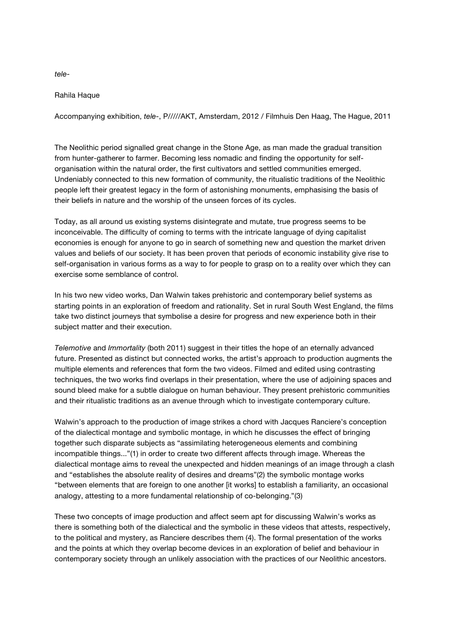*tele*-

## Rahila Haque

Accompanying exhibition, *tele-*, P/////AKT, Amsterdam, 2012 / Filmhuis Den Haag, The Hague, 2011

The Neolithic period signalled great change in the Stone Age, as man made the gradual transition from hunter-gatherer to farmer. Becoming less nomadic and finding the opportunity for selforganisation within the natural order, the first cultivators and settled communities emerged. Undeniably connected to this new formation of community, the ritualistic traditions of the Neolithic people left their greatest legacy in the form of astonishing monuments, emphasising the basis of their beliefs in nature and the worship of the unseen forces of its cycles.

Today, as all around us existing systems disintegrate and mutate, true progress seems to be inconceivable. The difficulty of coming to terms with the intricate language of dying capitalist economies is enough for anyone to go in search of something new and question the market driven values and beliefs of our society. It has been proven that periods of economic instability give rise to self-organisation in various forms as a way to for people to grasp on to a reality over which they can exercise some semblance of control.

In his two new video works, Dan Walwin takes prehistoric and contemporary belief systems as starting points in an exploration of freedom and rationality. Set in rural South West England, the films take two distinct journeys that symbolise a desire for progress and new experience both in their subject matter and their execution.

*Telemotive* and *Immortality* (both 2011) suggest in their titles the hope of an eternally advanced future. Presented as distinct but connected works, the artist's approach to production augments the multiple elements and references that form the two videos. Filmed and edited using contrasting techniques, the two works find overlaps in their presentation, where the use of adjoining spaces and sound bleed make for a subtle dialogue on human behaviour. They present prehistoric communities and their ritualistic traditions as an avenue through which to investigate contemporary culture.

Walwin's approach to the production of image strikes a chord with Jacques Ranciere's conception of the dialectical montage and symbolic montage, in which he discusses the effect of bringing together such disparate subjects as "assimilating heterogeneous elements and combining incompatible things..."(1) in order to create two different affects through image. Whereas the dialectical montage aims to reveal the unexpected and hidden meanings of an image through a clash and "establishes the absolute reality of desires and dreams"(2) the symbolic montage works "between elements that are foreign to one another [it works] to establish a familiarity, an occasional analogy, attesting to a more fundamental relationship of co-belonging."(3)

These two concepts of image production and affect seem apt for discussing Walwin's works as there is something both of the dialectical and the symbolic in these videos that attests, respectively, to the political and mystery, as Ranciere describes them (4). The formal presentation of the works and the points at which they overlap become devices in an exploration of belief and behaviour in contemporary society through an unlikely association with the practices of our Neolithic ancestors.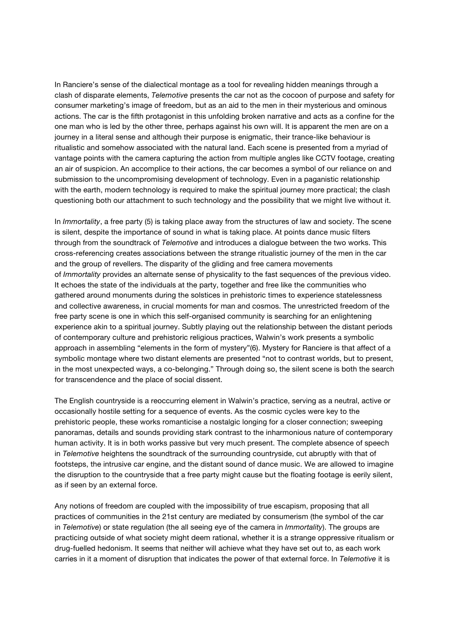In Ranciere's sense of the dialectical montage as a tool for revealing hidden meanings through a clash of disparate elements, *Telemotive* presents the car not as the cocoon of purpose and safety for consumer marketing's image of freedom, but as an aid to the men in their mysterious and ominous actions. The car is the fifth protagonist in this unfolding broken narrative and acts as a confine for the one man who is led by the other three, perhaps against his own will. It is apparent the men are on a journey in a literal sense and although their purpose is enigmatic, their trance-like behaviour is ritualistic and somehow associated with the natural land. Each scene is presented from a myriad of vantage points with the camera capturing the action from multiple angles like CCTV footage, creating an air of suspicion. An accomplice to their actions, the car becomes a symbol of our reliance on and submission to the uncompromising development of technology. Even in a paganistic relationship with the earth, modern technology is required to make the spiritual journey more practical; the clash questioning both our attachment to such technology and the possibility that we might live without it.

In *Immortality*, a free party (5) is taking place away from the structures of law and society. The scene is silent, despite the importance of sound in what is taking place. At points dance music filters through from the soundtrack of *Telemotive* and introduces a dialogue between the two works. This cross-referencing creates associations between the strange ritualistic journey of the men in the car and the group of revellers. The disparity of the gliding and free camera movements of *Immortality* provides an alternate sense of physicality to the fast sequences of the previous video. It echoes the state of the individuals at the party, together and free like the communities who gathered around monuments during the solstices in prehistoric times to experience statelessness and collective awareness, in crucial moments for man and cosmos. The unrestricted freedom of the free party scene is one in which this self-organised community is searching for an enlightening experience akin to a spiritual journey. Subtly playing out the relationship between the distant periods of contemporary culture and prehistoric religious practices, Walwin's work presents a symbolic approach in assembling "elements in the form of mystery"(6). Mystery for Ranciere is that affect of a symbolic montage where two distant elements are presented "not to contrast worlds, but to present, in the most unexpected ways, a co-belonging." Through doing so, the silent scene is both the search for transcendence and the place of social dissent.

The English countryside is a reoccurring element in Walwin's practice, serving as a neutral, active or occasionally hostile setting for a sequence of events. As the cosmic cycles were key to the prehistoric people, these works romanticise a nostalgic longing for a closer connection; sweeping panoramas, details and sounds providing stark contrast to the inharmonious nature of contemporary human activity. It is in both works passive but very much present. The complete absence of speech in *Telemotive* heightens the soundtrack of the surrounding countryside, cut abruptly with that of footsteps, the intrusive car engine, and the distant sound of dance music. We are allowed to imagine the disruption to the countryside that a free party might cause but the floating footage is eerily silent, as if seen by an external force.

Any notions of freedom are coupled with the impossibility of true escapism, proposing that all practices of communities in the 21st century are mediated by consumerism (the symbol of the car in *Telemotive*) or state regulation (the all seeing eye of the camera in *Immortality*). The groups are practicing outside of what society might deem rational, whether it is a strange oppressive ritualism or drug-fuelled hedonism. It seems that neither will achieve what they have set out to, as each work carries in it a moment of disruption that indicates the power of that external force. In *Telemotive* it is